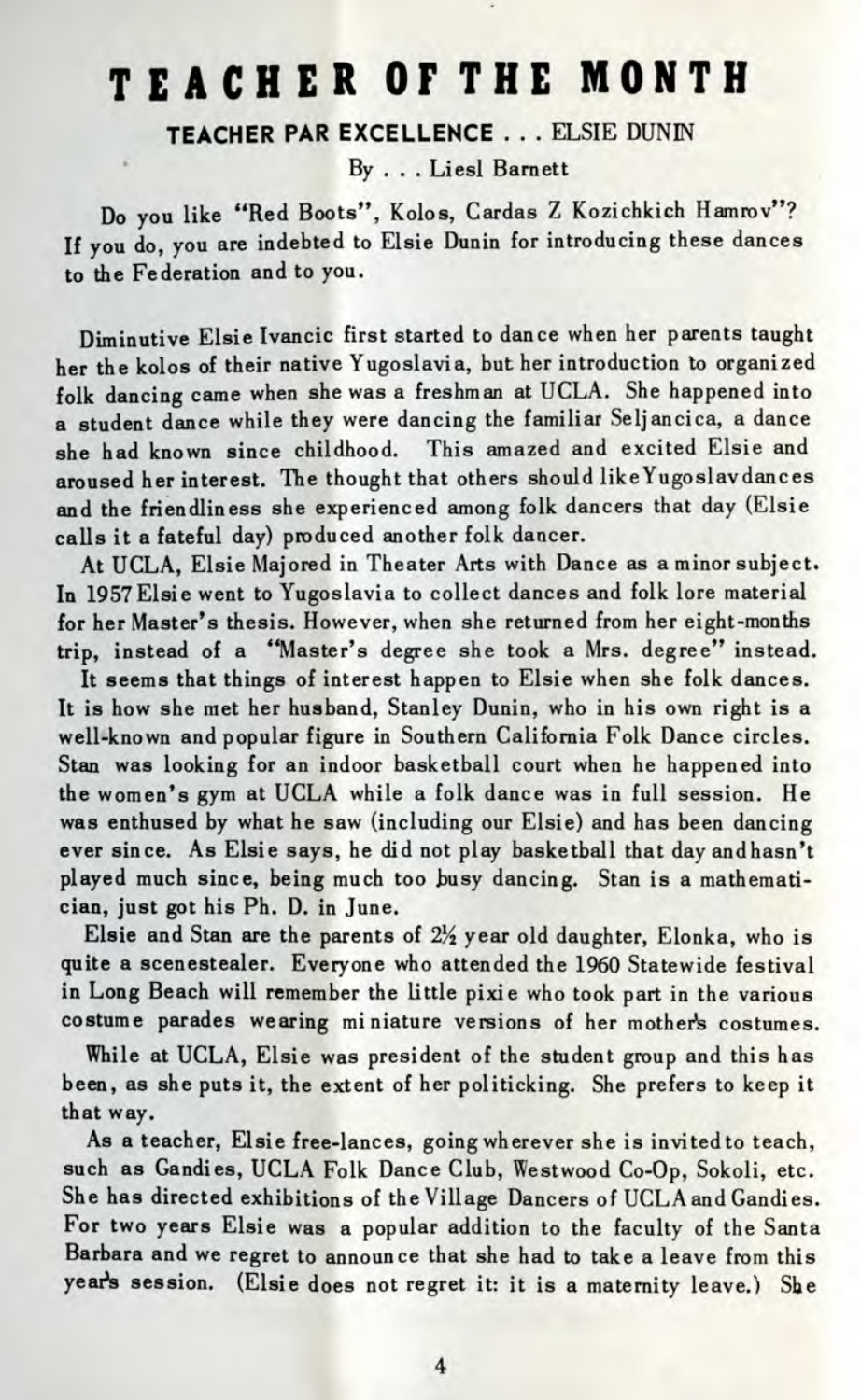## **TEACHE R OF TH E MONT H**

**TEACHER PAR EXCELLENCE . . .** ELSIE DUNIN

By ... Liesl Barnett

Do you like "Red Boots", Kolos, Cardas Z Kozichkich Hamrov"? If you do, you are indebted to Elsie Dunin for introducing these dances to the Federation and to you.

Diminutive Elsie Ivancic first started to dance when her parents taught her the kolos of their native Yugoslavia, but her introduction to organized folk dancing came when she was a freshman at UCLA. She happened into a student dance while they were dancing the familiar Seljancica, a dance she had known since childhood. This amazed and excited Elsie and aroused her interest. The thought that others should likeYugoslavdances and the friendliness she experienced among folk dancers that day (Elsie calls it a fateful day) produced another folk dancer.

At UCLA, Elsie Majored in Theater Arts with Dance as a minor subject. In 1957Elsie went to Yugoslavia to collect dances and folk lore material for her Master's thesis. However, when she returned from her eight-months trip, instead of a "Master's degree she took a Mrs. degree" instead.

It seems that things of interest happen to Elsie when she folk dances. It is how she met her husband, Stanley Dunin, who in his own right is a well-known and popular figure in Southern California Folk Dance circles. Stan was looking for an indoor basketball court when he happened into the women's gym at UCLA while a folk dance was in full session. He was enthused by what he saw (including our Elsie) and has been dancing ever since. As Elsie says, he did not play basketball that day andhasn't played much since, being much too busy dancing. Stan is a mathematician, just got his Ph. D. in June.

Elsie and Stan are the parents of  $2\frac{1}{2}$  year old daughter, Elonka, who is quite a scenestealer. Everyone who attended the 1960 Statewide festival in Long Beach will remember the little pixie who took part in the various costume parades wearing miniature versions of her mother's costumes.

While at UCLA, Elsie was president of the student group and this has been, as she puts it, the extent of her politicking. She prefers to keep it that way.

As a teacher, Elsie free-lances, going wherever she is invited to teach, such as Candies, UCLA Folk Dance Club, Westwood Co-Op, Sokoli, etc. She has directed exhibitions of the Village Dancers of UCLA and Candies. For two years Elsie was a popular addition to the faculty of the Santa Barbara and we regret to announce that she had to take a leave from this year's session. (Elsie does not regret it: it is a maternity leave.) She